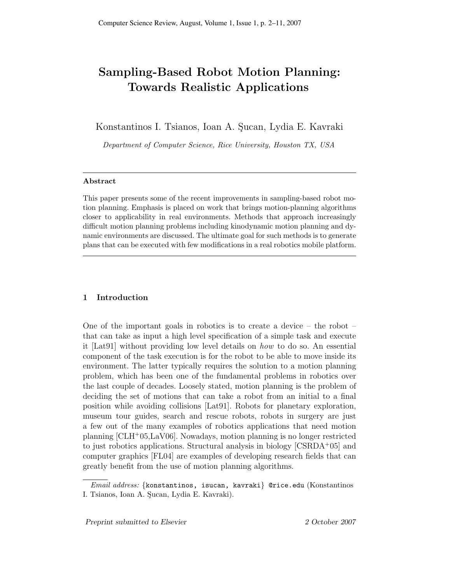# Sampling-Based Robot Motion Planning: Towards Realistic Applications

Konstantinos I. Tsianos, Ioan A. Sucan, Lydia E. Kavraki

Department of Computer Science, Rice University, Houston TX, USA

#### Abstract

This paper presents some of the recent improvements in sampling-based robot motion planning. Emphasis is placed on work that brings motion-planning algorithms closer to applicability in real environments. Methods that approach increasingly difficult motion planning problems including kinodynamic motion planning and dynamic environments are discussed. The ultimate goal for such methods is to generate plans that can be executed with few modifications in a real robotics mobile platform.

## 1 Introduction

One of the important goals in robotics is to create a device – the robot – that can take as input a high level specification of a simple task and execute it [Lat91] without providing low level details on how to do so. An essential component of the task execution is for the robot to be able to move inside its environment. The latter typically requires the solution to a motion planning problem, which has been one of the fundamental problems in robotics over the last couple of decades. Loosely stated, motion planning is the problem of deciding the set of motions that can take a robot from an initial to a final position while avoiding collisions [Lat91]. Robots for planetary exploration, museum tour guides, search and rescue robots, robots in surgery are just a few out of the many examples of robotics applications that need motion planning [CLH<sup>+</sup>05,LaV06]. Nowadays, motion planning is no longer restricted to just robotics applications. Structural analysis in biology  $[{\rm CSRDA}^+05]$  and computer graphics [FL04] are examples of developing research fields that can greatly benefit from the use of motion planning algorithms.

Email address: {konstantinos, isucan, kavraki} @rice.edu (Konstantinos I. Tsianos, Ioan A. Sucan, Lydia E. Kavraki).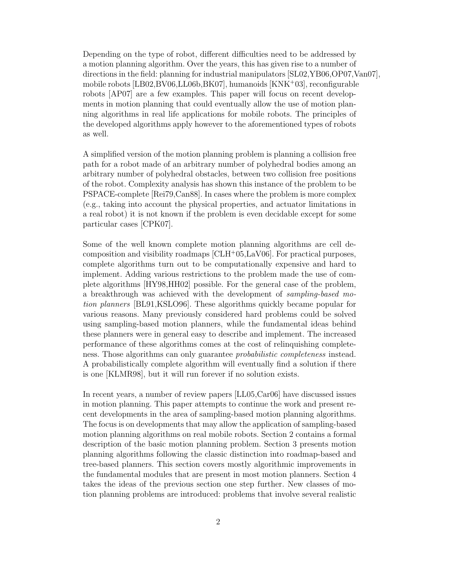Depending on the type of robot, different difficulties need to be addressed by a motion planning algorithm. Over the years, this has given rise to a number of directions in the field: planning for industrial manipulators [SL02,YB06,OP07,Van07], mobile robots [LB02,BV06,LL06b,BK07], humanoids [KNK<sup>+</sup>03], reconfigurable robots [AP07] are a few examples. This paper will focus on recent developments in motion planning that could eventually allow the use of motion planning algorithms in real life applications for mobile robots. The principles of the developed algorithms apply however to the aforementioned types of robots as well.

A simplified version of the motion planning problem is planning a collision free path for a robot made of an arbitrary number of polyhedral bodies among an arbitrary number of polyhedral obstacles, between two collision free positions of the robot. Complexity analysis has shown this instance of the problem to be PSPACE-complete [Rei79,Can88]. In cases where the problem is more complex (e.g., taking into account the physical properties, and actuator limitations in a real robot) it is not known if the problem is even decidable except for some particular cases [CPK07].

Some of the well known complete motion planning algorithms are cell decomposition and visibility roadmaps  $[CLH<sup>+</sup>05, LaV06]$ . For practical purposes, complete algorithms turn out to be computationally expensive and hard to implement. Adding various restrictions to the problem made the use of complete algorithms [HY98,HH02] possible. For the general case of the problem, a breakthrough was achieved with the development of sampling-based motion planners [BL91,KSLO96]. These algorithms quickly became popular for various reasons. Many previously considered hard problems could be solved using sampling-based motion planners, while the fundamental ideas behind these planners were in general easy to describe and implement. The increased performance of these algorithms comes at the cost of relinquishing completeness. Those algorithms can only guarantee probabilistic completeness instead. A probabilistically complete algorithm will eventually find a solution if there is one [KLMR98], but it will run forever if no solution exists.

In recent years, a number of review papers [LL05,Car06] have discussed issues in motion planning. This paper attempts to continue the work and present recent developments in the area of sampling-based motion planning algorithms. The focus is on developments that may allow the application of sampling-based motion planning algorithms on real mobile robots. Section 2 contains a formal description of the basic motion planning problem. Section 3 presents motion planning algorithms following the classic distinction into roadmap-based and tree-based planners. This section covers mostly algorithmic improvements in the fundamental modules that are present in most motion planners. Section 4 takes the ideas of the previous section one step further. New classes of motion planning problems are introduced: problems that involve several realistic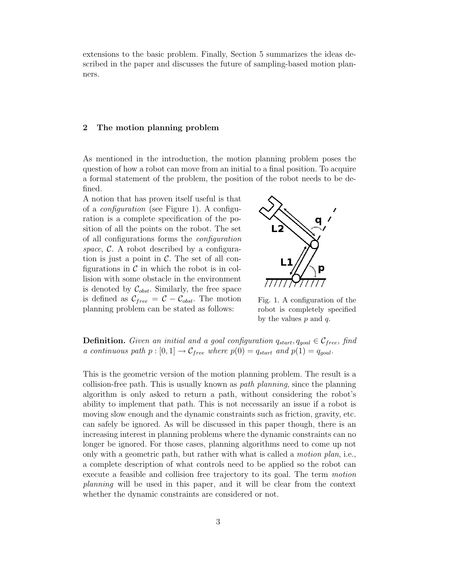extensions to the basic problem. Finally, Section 5 summarizes the ideas described in the paper and discusses the future of sampling-based motion planners.

#### 2 The motion planning problem

As mentioned in the introduction, the motion planning problem poses the question of how a robot can move from an initial to a final position. To acquire a formal statement of the problem, the position of the robot needs to be defined.

A notion that has proven itself useful is that of a configuration (see Figure 1). A configuration is a complete specification of the position of all the points on the robot. The set of all configurations forms the configuration space,  $\mathcal{C}$ . A robot described by a configuration is just a point in  $C$ . The set of all configurations in  $\mathcal C$  in which the robot is in collision with some obstacle in the environment is denoted by  $\mathcal{C}_{obst}$ . Similarly, the free space is defined as  $\mathcal{C}_{free} = \mathcal{C} - \mathcal{C}_{obst}$ . The motion planning problem can be stated as follows:



Fig. 1. A configuration of the robot is completely specified by the values  $p$  and  $q$ .

**Definition.** Given an initial and a goal configuration  $q_{start}, q_{goal} \in C_{free}$ , find a continuous path  $p : [0, 1] \to \mathcal{C}_{free}$  where  $p(0) = q_{start}$  and  $p(1) = q_{goal}$ .

This is the geometric version of the motion planning problem. The result is a collision-free path. This is usually known as path planning, since the planning algorithm is only asked to return a path, without considering the robot's ability to implement that path. This is not necessarily an issue if a robot is moving slow enough and the dynamic constraints such as friction, gravity, etc. can safely be ignored. As will be discussed in this paper though, there is an increasing interest in planning problems where the dynamic constraints can no longer be ignored. For those cases, planning algorithms need to come up not only with a geometric path, but rather with what is called a motion plan, i.e., a complete description of what controls need to be applied so the robot can execute a feasible and collision free trajectory to its goal. The term motion planning will be used in this paper, and it will be clear from the context whether the dynamic constraints are considered or not.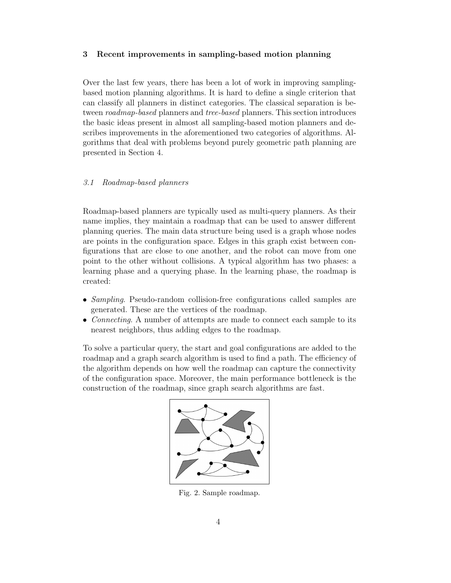# 3 Recent improvements in sampling-based motion planning

Over the last few years, there has been a lot of work in improving samplingbased motion planning algorithms. It is hard to define a single criterion that can classify all planners in distinct categories. The classical separation is between roadmap-based planners and tree-based planners. This section introduces the basic ideas present in almost all sampling-based motion planners and describes improvements in the aforementioned two categories of algorithms. Algorithms that deal with problems beyond purely geometric path planning are presented in Section 4.

# 3.1 Roadmap-based planners

Roadmap-based planners are typically used as multi-query planners. As their name implies, they maintain a roadmap that can be used to answer different planning queries. The main data structure being used is a graph whose nodes are points in the configuration space. Edges in this graph exist between configurations that are close to one another, and the robot can move from one point to the other without collisions. A typical algorithm has two phases: a learning phase and a querying phase. In the learning phase, the roadmap is created:

- Sampling. Pseudo-random collision-free configurations called samples are generated. These are the vertices of the roadmap.
- Connecting. A number of attempts are made to connect each sample to its nearest neighbors, thus adding edges to the roadmap.

To solve a particular query, the start and goal configurations are added to the roadmap and a graph search algorithm is used to find a path. The efficiency of the algorithm depends on how well the roadmap can capture the connectivity of the configuration space. Moreover, the main performance bottleneck is the construction of the roadmap, since graph search algorithms are fast.



Fig. 2. Sample roadmap.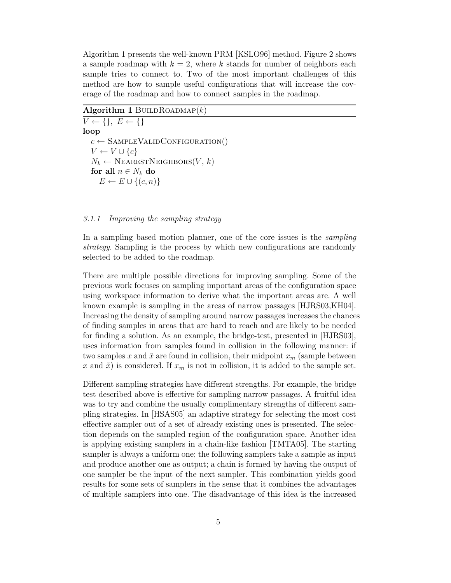Algorithm 1 presents the well-known PRM [KSLO96] method. Figure 2 shows a sample roadmap with  $k = 2$ , where k stands for number of neighbors each sample tries to connect to. Two of the most important challenges of this method are how to sample useful configurations that will increase the coverage of the roadmap and how to connect samples in the roadmap.

 $\Lambda$ lgorithm 1 BUILDROADMAP(k)  $V \leftarrow \{\}, E \leftarrow \{\}$ loop  $c \leftarrow$  SAMPLEVALIDCONFIGURATION()  $V \leftarrow V \cup \{c\}$  $N_k \leftarrow \text{NearestNeighbors}(V, k)$ for all  $n \in N_k$  do  $E \leftarrow E \cup \{(c, n)\}\$ 

#### 3.1.1 Improving the sampling strategy

In a sampling based motion planner, one of the core issues is the sampling strategy. Sampling is the process by which new configurations are randomly selected to be added to the roadmap.

There are multiple possible directions for improving sampling. Some of the previous work focuses on sampling important areas of the configuration space using workspace information to derive what the important areas are. A well known example is sampling in the areas of narrow passages [HJRS03,KH04]. Increasing the density of sampling around narrow passages increases the chances of finding samples in areas that are hard to reach and are likely to be needed for finding a solution. As an example, the bridge-test, presented in [HJRS03], uses information from samples found in collision in the following manner: if two samples x and  $\tilde{x}$  are found in collision, their midpoint  $x_m$  (sample between x and  $\tilde{x}$ ) is considered. If  $x_m$  is not in collision, it is added to the sample set.

Different sampling strategies have different strengths. For example, the bridge test described above is effective for sampling narrow passages. A fruitful idea was to try and combine the usually complimentary strengths of different sampling strategies. In [HSAS05] an adaptive strategy for selecting the most cost effective sampler out of a set of already existing ones is presented. The selection depends on the sampled region of the configuration space. Another idea is applying existing samplers in a chain-like fashion [TMTA05]. The starting sampler is always a uniform one; the following samplers take a sample as input and produce another one as output; a chain is formed by having the output of one sampler be the input of the next sampler. This combination yields good results for some sets of samplers in the sense that it combines the advantages of multiple samplers into one. The disadvantage of this idea is the increased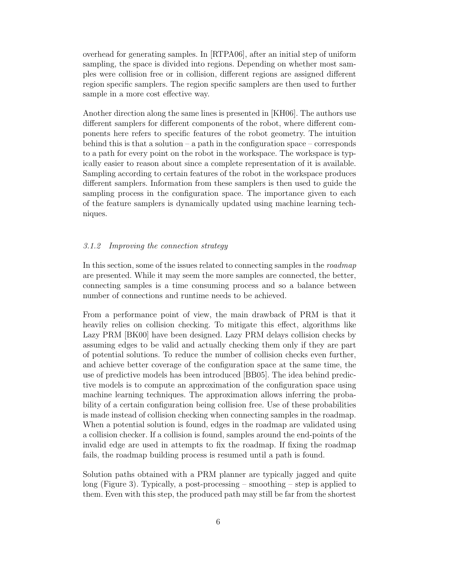overhead for generating samples. In [RTPA06], after an initial step of uniform sampling, the space is divided into regions. Depending on whether most samples were collision free or in collision, different regions are assigned different region specific samplers. The region specific samplers are then used to further sample in a more cost effective way.

Another direction along the same lines is presented in [KH06]. The authors use different samplers for different components of the robot, where different components here refers to specific features of the robot geometry. The intuition behind this is that a solution – a path in the configuration space – corresponds to a path for every point on the robot in the workspace. The workspace is typically easier to reason about since a complete representation of it is available. Sampling according to certain features of the robot in the workspace produces different samplers. Information from these samplers is then used to guide the sampling process in the configuration space. The importance given to each of the feature samplers is dynamically updated using machine learning techniques.

# 3.1.2 Improving the connection strategy

In this section, some of the issues related to connecting samples in the *roadmap* are presented. While it may seem the more samples are connected, the better, connecting samples is a time consuming process and so a balance between number of connections and runtime needs to be achieved.

From a performance point of view, the main drawback of PRM is that it heavily relies on collision checking. To mitigate this effect, algorithms like Lazy PRM [BK00] have been designed. Lazy PRM delays collision checks by assuming edges to be valid and actually checking them only if they are part of potential solutions. To reduce the number of collision checks even further, and achieve better coverage of the configuration space at the same time, the use of predictive models has been introduced [BB05]. The idea behind predictive models is to compute an approximation of the configuration space using machine learning techniques. The approximation allows inferring the probability of a certain configuration being collision free. Use of these probabilities is made instead of collision checking when connecting samples in the roadmap. When a potential solution is found, edges in the roadmap are validated using a collision checker. If a collision is found, samples around the end-points of the invalid edge are used in attempts to fix the roadmap. If fixing the roadmap fails, the roadmap building process is resumed until a path is found.

Solution paths obtained with a PRM planner are typically jagged and quite long (Figure 3). Typically, a post-processing – smoothing – step is applied to them. Even with this step, the produced path may still be far from the shortest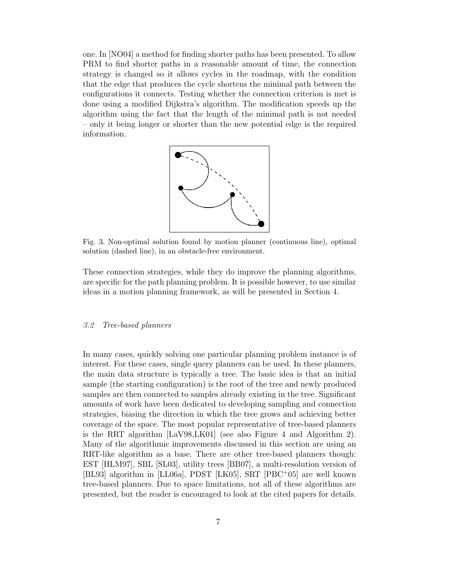one. In [NO04] a method for finding shorter paths has been presented. To allow PRM to find shorter paths in a reasonable amount of time, the connection strategy is changed so it allows cycles in the roadmap, with the condition that the edge that produces the cycle shortens the minimal path between the configurations it connects. Testing whether the connection criterion is met is done using a modified Dijkstra's algorithm. The modification speeds up the algorithm using the fact that the length of the minimal path is not needed – only it being longer or shorter than the new potential edge is the required information.



Fig. 3. Non-optimal solution found by motion planner (continuous line), optimal solution (dashed line), in an obstacle-free environment.

These connection strategies, while they do improve the planning algorithms, are specific for the path planning problem. It is possible however, to use similar ideas in a motion planning framework, as will be presented in Section 4.

## 3.2 Tree-based planners

In many cases, quickly solving one particular planning problem instance is of interest. For these cases, single query planners can be used. In these planners, the main data structure is typically a tree. The basic idea is that an initial sample (the starting configuration) is the root of the tree and newly produced samples are then connected to samples already existing in the tree. Significant amounts of work have been dedicated to developing sampling and connection strategies, biasing the direction in which the tree grows and achieving better coverage of the space. The most popular representative of tree-based planners is the RRT algorithm [LaV98,LK01] (see also Figure 4 and Algorithm 2). Many of the algorithmic improvements discussed in this section are using an RRT-like algorithm as a base. There are other tree-based planners though: EST [HLM97], SBL [SL03], utility trees [BB07], a multi-resolution version of [BL93] algorithm in [LL06a], PDST [LK05], SRT [PBC<sup>+</sup>05] are well known tree-based planners. Due to space limitations, not all of these algorithms are presented, but the reader is encouraged to look at the cited papers for details.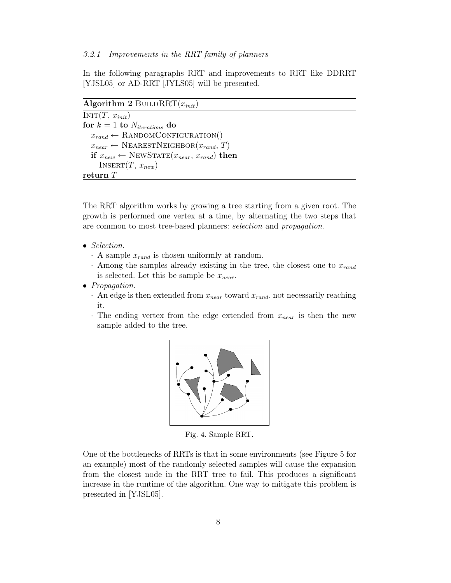In the following paragraphs RRT and improvements to RRT like DDRRT [YJSL05] or AD-RRT [JYLS05] will be presented.

#### Algorithm 2 BUILDRRT $(x_{init})$

 $INT(T, x_{init})$ for  $k = 1$  to  $N_{iterations}$  do  $x_{rand} \leftarrow$  RANDOMCONFIGURATION()  $x_{near} \leftarrow \text{NEARESTNEIGHBOR}(x_{rand}, T)$ if  $x_{new} \leftarrow \text{NEWSTATE}(x_{near}, x_{rand})$  then INSERT $(T, x_{new})$ return  $\cal T$ 

The RRT algorithm works by growing a tree starting from a given root. The growth is performed one vertex at a time, by alternating the two steps that are common to most tree-based planners: selection and propagation.

- Selection.
	- $\cdot$  A sample  $x_{rand}$  is chosen uniformly at random.
	- $\cdot$  Among the samples already existing in the tree, the closest one to  $x_{rand}$ is selected. Let this be sample be  $x_{near}$ .
- Propagation.
	- · An edge is then extended from  $x_{near}$  toward  $x_{rand}$ , not necessarily reaching it.
	- · The ending vertex from the edge extended from  $x_{near}$  is then the new sample added to the tree.



Fig. 4. Sample RRT.

One of the bottlenecks of RRTs is that in some environments (see Figure 5 for an example) most of the randomly selected samples will cause the expansion from the closest node in the RRT tree to fail. This produces a significant increase in the runtime of the algorithm. One way to mitigate this problem is presented in [YJSL05].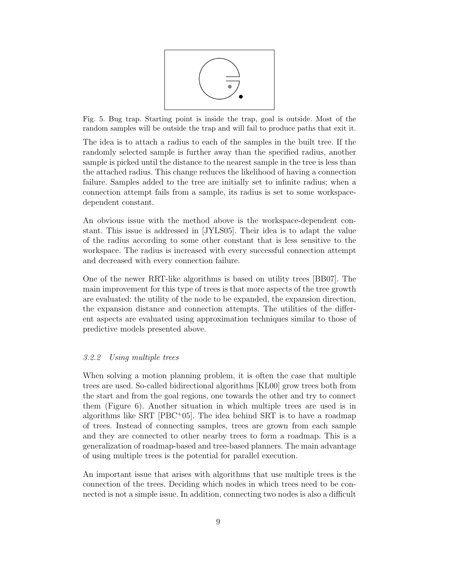

Fig. 5. Bug trap. Starting point is inside the trap, goal is outside. Most of the random samples will be outside the trap and will fail to produce paths that exit it.

The idea is to attach a radius to each of the samples in the built tree. If the randomly selected sample is further away than the specified radius, another sample is picked until the distance to the nearest sample in the tree is less than the attached radius. This change reduces the likelihood of having a connection failure. Samples added to the tree are initially set to infinite radius; when a connection attempt fails from a sample, its radius is set to some workspacedependent constant.

An obvious issue with the method above is the workspace-dependent constant. This issue is addressed in [JYLS05]. Their idea is to adapt the value of the radius according to some other constant that is less sensitive to the workspace. The radius is increased with every successful connection attempt and decreased with every connection failure.

One of the newer RRT-like algorithms is based on utility trees [BB07]. The main improvement for this type of trees is that more aspects of the tree growth are evaluated: the utility of the node to be expanded, the expansion direction, the expansion distance and connection attempts. The utilities of the different aspects are evaluated using approximation techniques similar to those of predictive models presented above.

#### 3.2.2 Using multiple trees

When solving a motion planning problem, it is often the case that multiple trees are used. So-called bidirectional algorithms [KL00] grow trees both from the start and from the goal regions, one towards the other and try to connect them (Figure 6). Another situation in which multiple trees are used is in algorithms like SRT  $[{\rm PBC^{+}05}]$ . The idea behind SRT is to have a roadmap of trees. Instead of connecting samples, trees are grown from each sample and they are connected to other nearby trees to form a roadmap. This is a generalization of roadmap-based and tree-based planners. The main advantage of using multiple trees is the potential for parallel execution.

An important issue that arises with algorithms that use multiple trees is the connection of the trees. Deciding which nodes in which trees need to be connected is not a simple issue. In addition, connecting two nodes is also a difficult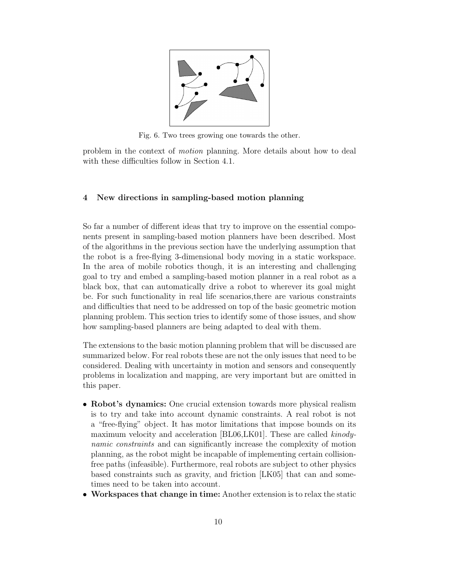

Fig. 6. Two trees growing one towards the other.

problem in the context of motion planning. More details about how to deal with these difficulties follow in Section 4.1.

## 4 New directions in sampling-based motion planning

So far a number of different ideas that try to improve on the essential components present in sampling-based motion planners have been described. Most of the algorithms in the previous section have the underlying assumption that the robot is a free-flying 3-dimensional body moving in a static workspace. In the area of mobile robotics though, it is an interesting and challenging goal to try and embed a sampling-based motion planner in a real robot as a black box, that can automatically drive a robot to wherever its goal might be. For such functionality in real life scenarios,there are various constraints and difficulties that need to be addressed on top of the basic geometric motion planning problem. This section tries to identify some of those issues, and show how sampling-based planners are being adapted to deal with them.

The extensions to the basic motion planning problem that will be discussed are summarized below. For real robots these are not the only issues that need to be considered. Dealing with uncertainty in motion and sensors and consequently problems in localization and mapping, are very important but are omitted in this paper.

- Robot's dynamics: One crucial extension towards more physical realism is to try and take into account dynamic constraints. A real robot is not a "free-flying" object. It has motor limitations that impose bounds on its maximum velocity and acceleration [BL06,LK01]. These are called kinodynamic constraints and can significantly increase the complexity of motion planning, as the robot might be incapable of implementing certain collisionfree paths (infeasible). Furthermore, real robots are subject to other physics based constraints such as gravity, and friction [LK05] that can and sometimes need to be taken into account.
- Workspaces that change in time: Another extension is to relax the static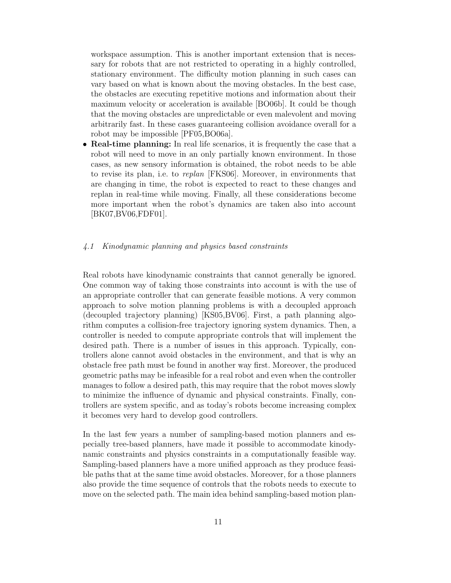workspace assumption. This is another important extension that is necessary for robots that are not restricted to operating in a highly controlled, stationary environment. The difficulty motion planning in such cases can vary based on what is known about the moving obstacles. In the best case, the obstacles are executing repetitive motions and information about their maximum velocity or acceleration is available [BO06b]. It could be though that the moving obstacles are unpredictable or even malevolent and moving arbitrarily fast. In these cases guaranteeing collision avoidance overall for a robot may be impossible [PF05,BO06a].

• Real-time planning: In real life scenarios, it is frequently the case that a robot will need to move in an only partially known environment. In those cases, as new sensory information is obtained, the robot needs to be able to revise its plan, i.e. to replan [FKS06]. Moreover, in environments that are changing in time, the robot is expected to react to these changes and replan in real-time while moving. Finally, all these considerations become more important when the robot's dynamics are taken also into account [BK07,BV06,FDF01].

# 4.1 Kinodynamic planning and physics based constraints

Real robots have kinodynamic constraints that cannot generally be ignored. One common way of taking those constraints into account is with the use of an appropriate controller that can generate feasible motions. A very common approach to solve motion planning problems is with a decoupled approach (decoupled trajectory planning) [KS05,BV06]. First, a path planning algorithm computes a collision-free trajectory ignoring system dynamics. Then, a controller is needed to compute appropriate controls that will implement the desired path. There is a number of issues in this approach. Typically, controllers alone cannot avoid obstacles in the environment, and that is why an obstacle free path must be found in another way first. Moreover, the produced geometric paths may be infeasible for a real robot and even when the controller manages to follow a desired path, this may require that the robot moves slowly to minimize the influence of dynamic and physical constraints. Finally, controllers are system specific, and as today's robots become increasing complex it becomes very hard to develop good controllers.

In the last few years a number of sampling-based motion planners and especially tree-based planners, have made it possible to accommodate kinodynamic constraints and physics constraints in a computationally feasible way. Sampling-based planners have a more unified approach as they produce feasible paths that at the same time avoid obstacles. Moreover, for a those planners also provide the time sequence of controls that the robots needs to execute to move on the selected path. The main idea behind sampling-based motion plan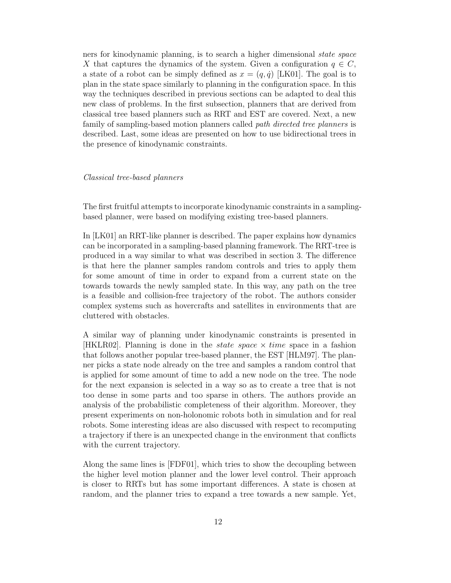ners for kinodynamic planning, is to search a higher dimensional state space X that captures the dynamics of the system. Given a configuration  $q \in C$ , a state of a robot can be simply defined as  $x = (q, \dot{q})$  [LK01]. The goal is to plan in the state space similarly to planning in the configuration space. In this way the techniques described in previous sections can be adapted to deal this new class of problems. In the first subsection, planners that are derived from classical tree based planners such as RRT and EST are covered. Next, a new family of sampling-based motion planners called *path directed tree planners* is described. Last, some ideas are presented on how to use bidirectional trees in the presence of kinodynamic constraints.

### Classical tree-based planners

The first fruitful attempts to incorporate kinodynamic constraints in a samplingbased planner, were based on modifying existing tree-based planners.

In [LK01] an RRT-like planner is described. The paper explains how dynamics can be incorporated in a sampling-based planning framework. The RRT-tree is produced in a way similar to what was described in section 3. The difference is that here the planner samples random controls and tries to apply them for some amount of time in order to expand from a current state on the towards towards the newly sampled state. In this way, any path on the tree is a feasible and collision-free trajectory of the robot. The authors consider complex systems such as hovercrafts and satellites in environments that are cluttered with obstacles.

A similar way of planning under kinodynamic constraints is presented in [HKLR02]. Planning is done in the *state space*  $\times$  *time* space in a fashion that follows another popular tree-based planner, the EST [HLM97]. The planner picks a state node already on the tree and samples a random control that is applied for some amount of time to add a new node on the tree. The node for the next expansion is selected in a way so as to create a tree that is not too dense in some parts and too sparse in others. The authors provide an analysis of the probabilistic completeness of their algorithm. Moreover, they present experiments on non-holonomic robots both in simulation and for real robots. Some interesting ideas are also discussed with respect to recomputing a trajectory if there is an unexpected change in the environment that conflicts with the current trajectory.

Along the same lines is [FDF01], which tries to show the decoupling between the higher level motion planner and the lower level control. Their approach is closer to RRTs but has some important differences. A state is chosen at random, and the planner tries to expand a tree towards a new sample. Yet,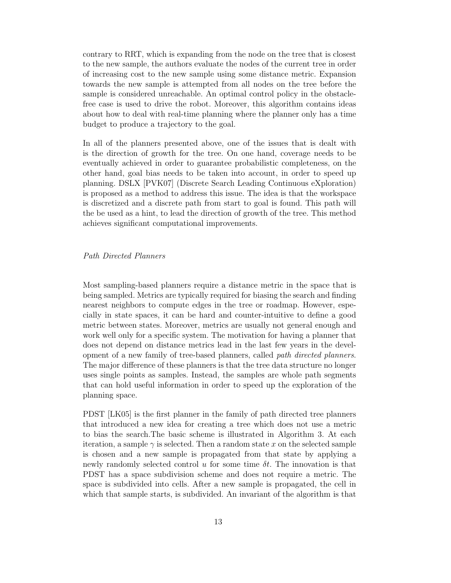contrary to RRT, which is expanding from the node on the tree that is closest to the new sample, the authors evaluate the nodes of the current tree in order of increasing cost to the new sample using some distance metric. Expansion towards the new sample is attempted from all nodes on the tree before the sample is considered unreachable. An optimal control policy in the obstaclefree case is used to drive the robot. Moreover, this algorithm contains ideas about how to deal with real-time planning where the planner only has a time budget to produce a trajectory to the goal.

In all of the planners presented above, one of the issues that is dealt with is the direction of growth for the tree. On one hand, coverage needs to be eventually achieved in order to guarantee probabilistic completeness, on the other hand, goal bias needs to be taken into account, in order to speed up planning. DSLX [PVK07] (Discrete Search Leading Continuous eXploration) is proposed as a method to address this issue. The idea is that the workspace is discretized and a discrete path from start to goal is found. This path will the be used as a hint, to lead the direction of growth of the tree. This method achieves significant computational improvements.

## Path Directed Planners

Most sampling-based planners require a distance metric in the space that is being sampled. Metrics are typically required for biasing the search and finding nearest neighbors to compute edges in the tree or roadmap. However, especially in state spaces, it can be hard and counter-intuitive to define a good metric between states. Moreover, metrics are usually not general enough and work well only for a specific system. The motivation for having a planner that does not depend on distance metrics lead in the last few years in the development of a new family of tree-based planners, called *path directed planners*. The major difference of these planners is that the tree data structure no longer uses single points as samples. Instead, the samples are whole path segments that can hold useful information in order to speed up the exploration of the planning space.

PDST [LK05] is the first planner in the family of path directed tree planners that introduced a new idea for creating a tree which does not use a metric to bias the search.The basic scheme is illustrated in Algorithm 3. At each iteration, a sample  $\gamma$  is selected. Then a random state x on the selected sample is chosen and a new sample is propagated from that state by applying a newly randomly selected control u for some time  $\delta t$ . The innovation is that PDST has a space subdivision scheme and does not require a metric. The space is subdivided into cells. After a new sample is propagated, the cell in which that sample starts, is subdivided. An invariant of the algorithm is that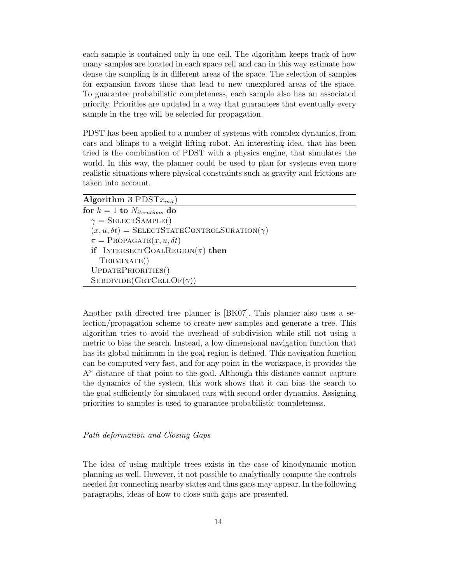each sample is contained only in one cell. The algorithm keeps track of how many samples are located in each space cell and can in this way estimate how dense the sampling is in different areas of the space. The selection of samples for expansion favors those that lead to new unexplored areas of the space. To guarantee probabilistic completeness, each sample also has an associated priority. Priorities are updated in a way that guarantees that eventually every sample in the tree will be selected for propagation.

PDST has been applied to a number of systems with complex dynamics, from cars and blimps to a weight lifting robot. An interesting idea, that has been tried is the combination of PDST with a physics engine, that simulates the world. In this way, the planner could be used to plan for systems even more realistic situations where physical constraints such as gravity and frictions are taken into account.

# Algorithm 3  $\text{PDST}_{x_{init}}$

for  $k = 1$  to  $N_{iterations}$  do  $\gamma =$  SELECTSAMPLE()  $(x, u, \delta t)$  = SELECTSTATECONTROLSURATION $(\gamma)$  $\pi = \text{PROPAGATE}(x, u, \delta t)$ if INTERSECTGOALREGION( $\pi$ ) then TERMINATE() UPDATEPRIORITIES()  $SUBDIVIDE(GETCELLOF(\gamma))$ 

Another path directed tree planner is [BK07]. This planner also uses a selection/propagation scheme to create new samples and generate a tree. This algorithm tries to avoid the overhead of subdivision while still not using a metric to bias the search. Instead, a low dimensional navigation function that has its global minimum in the goal region is defined. This navigation function can be computed very fast, and for any point in the workspace, it provides the A\* distance of that point to the goal. Although this distance cannot capture the dynamics of the system, this work shows that it can bias the search to the goal sufficiently for simulated cars with second order dynamics. Assigning priorities to samples is used to guarantee probabilistic completeness.

#### Path deformation and Closing Gaps

The idea of using multiple trees exists in the case of kinodynamic motion planning as well. However, it not possible to analytically compute the controls needed for connecting nearby states and thus gaps may appear. In the following paragraphs, ideas of how to close such gaps are presented.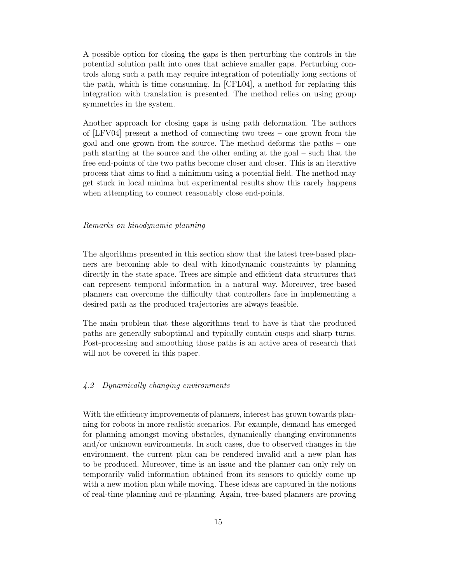A possible option for closing the gaps is then perturbing the controls in the potential solution path into ones that achieve smaller gaps. Perturbing controls along such a path may require integration of potentially long sections of the path, which is time consuming. In [CFL04], a method for replacing this integration with translation is presented. The method relies on using group symmetries in the system.

Another approach for closing gaps is using path deformation. The authors of [LFV04] present a method of connecting two trees – one grown from the goal and one grown from the source. The method deforms the paths – one path starting at the source and the other ending at the goal – such that the free end-points of the two paths become closer and closer. This is an iterative process that aims to find a minimum using a potential field. The method may get stuck in local minima but experimental results show this rarely happens when attempting to connect reasonably close end-points.

#### Remarks on kinodynamic planning

The algorithms presented in this section show that the latest tree-based planners are becoming able to deal with kinodynamic constraints by planning directly in the state space. Trees are simple and efficient data structures that can represent temporal information in a natural way. Moreover, tree-based planners can overcome the difficulty that controllers face in implementing a desired path as the produced trajectories are always feasible.

The main problem that these algorithms tend to have is that the produced paths are generally suboptimal and typically contain cusps and sharp turns. Post-processing and smoothing those paths is an active area of research that will not be covered in this paper.

#### 4.2 Dynamically changing environments

With the efficiency improvements of planners, interest has grown towards planning for robots in more realistic scenarios. For example, demand has emerged for planning amongst moving obstacles, dynamically changing environments and/or unknown environments. In such cases, due to observed changes in the environment, the current plan can be rendered invalid and a new plan has to be produced. Moreover, time is an issue and the planner can only rely on temporarily valid information obtained from its sensors to quickly come up with a new motion plan while moving. These ideas are captured in the notions of real-time planning and re-planning. Again, tree-based planners are proving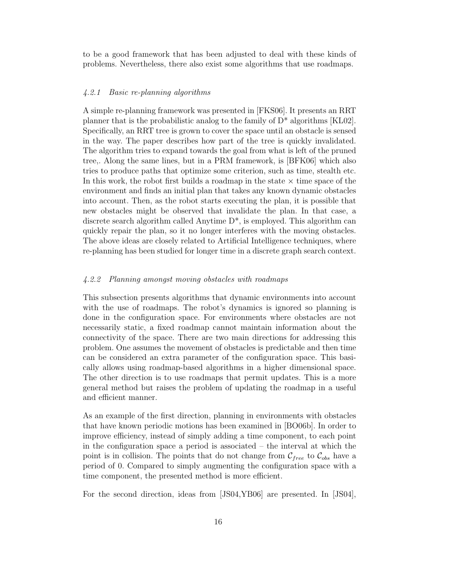to be a good framework that has been adjusted to deal with these kinds of problems. Nevertheless, there also exist some algorithms that use roadmaps.

#### 4.2.1 Basic re-planning algorithms

A simple re-planning framework was presented in [FKS06]. It presents an RRT planner that is the probabilistic analog to the family of D\* algorithms [KL02]. Specifically, an RRT tree is grown to cover the space until an obstacle is sensed in the way. The paper describes how part of the tree is quickly invalidated. The algorithm tries to expand towards the goal from what is left of the pruned tree,. Along the same lines, but in a PRM framework, is [BFK06] which also tries to produce paths that optimize some criterion, such as time, stealth etc. In this work, the robot first builds a roadmap in the state  $\times$  time space of the environment and finds an initial plan that takes any known dynamic obstacles into account. Then, as the robot starts executing the plan, it is possible that new obstacles might be observed that invalidate the plan. In that case, a discrete search algorithm called Anytime D\*, is employed. This algorithm can quickly repair the plan, so it no longer interferes with the moving obstacles. The above ideas are closely related to Artificial Intelligence techniques, where re-planning has been studied for longer time in a discrete graph search context.

## 4.2.2 Planning amongst moving obstacles with roadmaps

This subsection presents algorithms that dynamic environments into account with the use of roadmaps. The robot's dynamics is ignored so planning is done in the configuration space. For environments where obstacles are not necessarily static, a fixed roadmap cannot maintain information about the connectivity of the space. There are two main directions for addressing this problem. One assumes the movement of obstacles is predictable and then time can be considered an extra parameter of the configuration space. This basically allows using roadmap-based algorithms in a higher dimensional space. The other direction is to use roadmaps that permit updates. This is a more general method but raises the problem of updating the roadmap in a useful and efficient manner.

As an example of the first direction, planning in environments with obstacles that have known periodic motions has been examined in [BO06b]. In order to improve efficiency, instead of simply adding a time component, to each point in the configuration space a period is associated – the interval at which the point is in collision. The points that do not change from  $\mathcal{C}_{free}$  to  $\mathcal{C}_{obs}$  have a period of 0. Compared to simply augmenting the configuration space with a time component, the presented method is more efficient.

For the second direction, ideas from [JS04,YB06] are presented. In [JS04],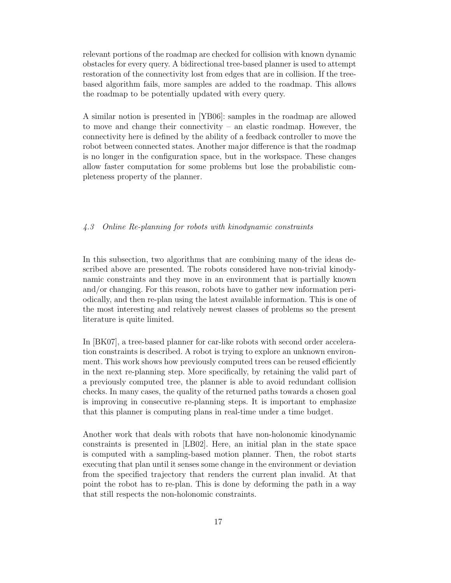relevant portions of the roadmap are checked for collision with known dynamic obstacles for every query. A bidirectional tree-based planner is used to attempt restoration of the connectivity lost from edges that are in collision. If the treebased algorithm fails, more samples are added to the roadmap. This allows the roadmap to be potentially updated with every query.

A similar notion is presented in [YB06]: samples in the roadmap are allowed to move and change their connectivity – an elastic roadmap. However, the connectivity here is defined by the ability of a feedback controller to move the robot between connected states. Another major difference is that the roadmap is no longer in the configuration space, but in the workspace. These changes allow faster computation for some problems but lose the probabilistic completeness property of the planner.

# 4.3 Online Re-planning for robots with kinodynamic constraints

In this subsection, two algorithms that are combining many of the ideas described above are presented. The robots considered have non-trivial kinodynamic constraints and they move in an environment that is partially known and/or changing. For this reason, robots have to gather new information periodically, and then re-plan using the latest available information. This is one of the most interesting and relatively newest classes of problems so the present literature is quite limited.

In [BK07], a tree-based planner for car-like robots with second order acceleration constraints is described. A robot is trying to explore an unknown environment. This work shows how previously computed trees can be reused efficiently in the next re-planning step. More specifically, by retaining the valid part of a previously computed tree, the planner is able to avoid redundant collision checks. In many cases, the quality of the returned paths towards a chosen goal is improving in consecutive re-planning steps. It is important to emphasize that this planner is computing plans in real-time under a time budget.

Another work that deals with robots that have non-holonomic kinodynamic constraints is presented in [LB02]. Here, an initial plan in the state space is computed with a sampling-based motion planner. Then, the robot starts executing that plan until it senses some change in the environment or deviation from the specified trajectory that renders the current plan invalid. At that point the robot has to re-plan. This is done by deforming the path in a way that still respects the non-holonomic constraints.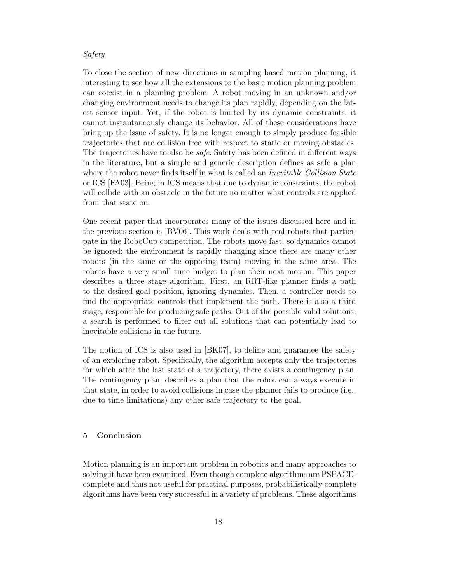#### Safety

To close the section of new directions in sampling-based motion planning, it interesting to see how all the extensions to the basic motion planning problem can coexist in a planning problem. A robot moving in an unknown and/or changing environment needs to change its plan rapidly, depending on the latest sensor input. Yet, if the robot is limited by its dynamic constraints, it cannot instantaneously change its behavior. All of these considerations have bring up the issue of safety. It is no longer enough to simply produce feasible trajectories that are collision free with respect to static or moving obstacles. The trajectories have to also be safe. Safety has been defined in different ways in the literature, but a simple and generic description defines as safe a plan where the robot never finds itself in what is called an *Inevitable Collision State* or ICS [FA03]. Being in ICS means that due to dynamic constraints, the robot will collide with an obstacle in the future no matter what controls are applied from that state on.

One recent paper that incorporates many of the issues discussed here and in the previous section is [BV06]. This work deals with real robots that participate in the RoboCup competition. The robots move fast, so dynamics cannot be ignored; the environment is rapidly changing since there are many other robots (in the same or the opposing team) moving in the same area. The robots have a very small time budget to plan their next motion. This paper describes a three stage algorithm. First, an RRT-like planner finds a path to the desired goal position, ignoring dynamics. Then, a controller needs to find the appropriate controls that implement the path. There is also a third stage, responsible for producing safe paths. Out of the possible valid solutions, a search is performed to filter out all solutions that can potentially lead to inevitable collisions in the future.

The notion of ICS is also used in [BK07], to define and guarantee the safety of an exploring robot. Specifically, the algorithm accepts only the trajectories for which after the last state of a trajectory, there exists a contingency plan. The contingency plan, describes a plan that the robot can always execute in that state, in order to avoid collisions in case the planner fails to produce (i.e., due to time limitations) any other safe trajectory to the goal.

# 5 Conclusion

Motion planning is an important problem in robotics and many approaches to solving it have been examined. Even though complete algorithms are PSPACEcomplete and thus not useful for practical purposes, probabilistically complete algorithms have been very successful in a variety of problems. These algorithms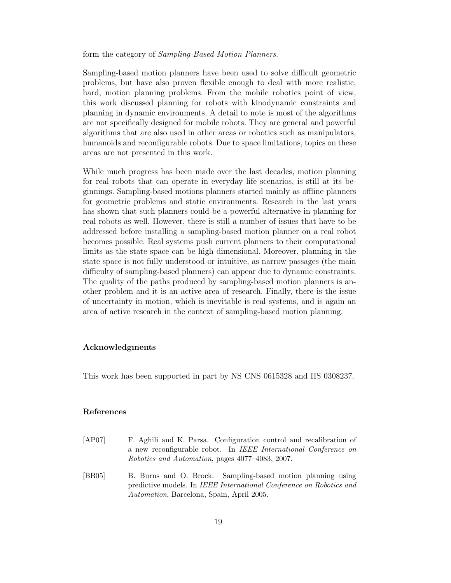form the category of Sampling-Based Motion Planners.

Sampling-based motion planners have been used to solve difficult geometric problems, but have also proven flexible enough to deal with more realistic, hard, motion planning problems. From the mobile robotics point of view, this work discussed planning for robots with kinodynamic constraints and planning in dynamic environments. A detail to note is most of the algorithms are not specifically designed for mobile robots. They are general and powerful algorithms that are also used in other areas or robotics such as manipulators, humanoids and reconfigurable robots. Due to space limitations, topics on these areas are not presented in this work.

While much progress has been made over the last decades, motion planning for real robots that can operate in everyday life scenarios, is still at its beginnings. Sampling-based motions planners started mainly as offline planners for geometric problems and static environments. Research in the last years has shown that such planners could be a powerful alternative in planning for real robots as well. However, there is still a number of issues that have to be addressed before installing a sampling-based motion planner on a real robot becomes possible. Real systems push current planners to their computational limits as the state space can be high dimensional. Moreover, planning in the state space is not fully understood or intuitive, as narrow passages (the main difficulty of sampling-based planners) can appear due to dynamic constraints. The quality of the paths produced by sampling-based motion planners is another problem and it is an active area of research. Finally, there is the issue of uncertainty in motion, which is inevitable is real systems, and is again an area of active research in the context of sampling-based motion planning.

# Acknowledgments

This work has been supported in part by NS CNS 0615328 and IIS 0308237.

# References

| [AP07] | F. Aghili and K. Parsa. Configuration control and recalibration of                                                                                                                      |
|--------|-----------------------------------------------------------------------------------------------------------------------------------------------------------------------------------------|
|        | a new reconfigurable robot. In IEEE International Conference on                                                                                                                         |
|        | <i>Robotics and Automation</i> , pages 4077–4083, 2007.                                                                                                                                 |
| [BB05] | B. Burns and O. Brock. Sampling-based motion planning using<br>predictive models. In IEEE International Conference on Robotics and<br><i>Automation</i> , Barcelona, Spain, April 2005. |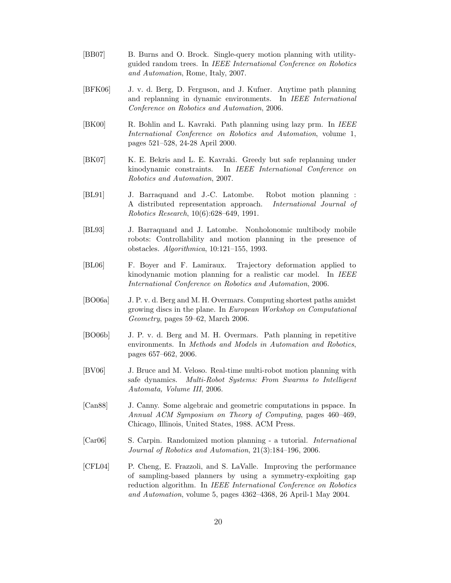- [BB07] B. Burns and O. Brock. Single-query motion planning with utilityguided random trees. In IEEE International Conference on Robotics and Automation, Rome, Italy, 2007.
- [BFK06] J. v. d. Berg, D. Ferguson, and J. Kufner. Anytime path planning and replanning in dynamic environments. In IEEE International Conference on Robotics and Automation, 2006.
- [BK00] R. Bohlin and L. Kavraki. Path planning using lazy prm. In IEEE International Conference on Robotics and Automation, volume 1, pages 521–528, 24-28 April 2000.
- [BK07] K. E. Bekris and L. E. Kavraki. Greedy but safe replanning under kinodynamic constraints. In IEEE International Conference on Robotics and Automation, 2007.
- [BL91] J. Barraquand and J.-C. Latombe. Robot motion planning : A distributed representation approach. International Journal of Robotics Research, 10(6):628–649, 1991.
- [BL93] J. Barraquand and J. Latombe. Nonholonomic multibody mobile robots: Controllability and motion planning in the presence of obstacles. Algorithmica, 10:121–155, 1993.
- [BL06] F. Boyer and F. Lamiraux. Trajectory deformation applied to kinodynamic motion planning for a realistic car model. In IEEE International Conference on Robotics and Automation, 2006.
- [BO06a] J. P. v. d. Berg and M. H. Overmars. Computing shortest paths amidst growing discs in the plane. In European Workshop on Computational Geometry, pages 59–62, March 2006.
- [BO06b] J. P. v. d. Berg and M. H. Overmars. Path planning in repetitive environments. In Methods and Models in Automation and Robotics, pages 657–662, 2006.
- [BV06] J. Bruce and M. Veloso. Real-time multi-robot motion planning with safe dynamics. Multi-Robot Systems: From Swarms to Intelligent Automata, Volume III, 2006.
- [Can88] J. Canny. Some algebraic and geometric computations in pspace. In Annual ACM Symposium on Theory of Computing, pages 460–469, Chicago, Illinois, United States, 1988. ACM Press.
- [Car06] S. Carpin. Randomized motion planning a tutorial. International Journal of Robotics and Automation, 21(3):184–196, 2006.
- [CFL04] P. Cheng, E. Frazzoli, and S. LaValle. Improving the performance of sampling-based planners by using a symmetry-exploiting gap reduction algorithm. In IEEE International Conference on Robotics and Automation, volume 5, pages 4362–4368, 26 April-1 May 2004.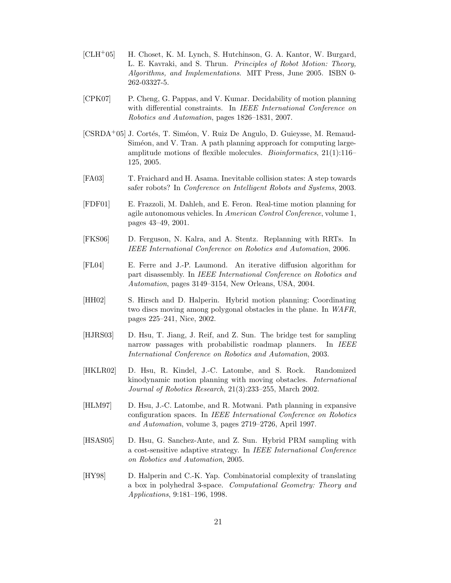- [CLH+05] H. Choset, K. M. Lynch, S. Hutchinson, G. A. Kantor, W. Burgard, L. E. Kavraki, and S. Thrun. Principles of Robot Motion: Theory, Algorithms, and Implementations. MIT Press, June 2005. ISBN 0- 262-03327-5.
- [CPK07] P. Cheng, G. Pappas, and V. Kumar. Decidability of motion planning with differential constraints. In IEEE International Conference on Robotics and Automation, pages 1826–1831, 2007.
- $[CSRDA<sup>+</sup>05]$  J. Cortés, T. Siméon, V. Ruiz De Angulo, D. Guieysse, M. Remaud-Siméon, and V. Tran. A path planning approach for computing largeamplitude motions of flexible molecules. Bioinformatics, 21(1):116– 125, 2005.
- [FA03] T. Fraichard and H. Asama. Inevitable collision states: A step towards safer robots? In Conference on Intelligent Robots and Systems, 2003.
- [FDF01] E. Frazzoli, M. Dahleh, and E. Feron. Real-time motion planning for agile autonomous vehicles. In American Control Conference, volume 1, pages 43–49, 2001.
- [FKS06] D. Ferguson, N. Kalra, and A. Stentz. Replanning with RRTs. In IEEE International Conference on Robotics and Automation, 2006.
- [FL04] E. Ferre and J.-P. Laumond. An iterative diffusion algorithm for part disassembly. In IEEE International Conference on Robotics and Automation, pages 3149–3154, New Orleans, USA, 2004.
- [HH02] S. Hirsch and D. Halperin. Hybrid motion planning: Coordinating two discs moving among polygonal obstacles in the plane. In WAFR, pages 225–241, Nice, 2002.
- [HJRS03] D. Hsu, T. Jiang, J. Reif, and Z. Sun. The bridge test for sampling narrow passages with probabilistic roadmap planners. In IEEE International Conference on Robotics and Automation, 2003.
- [HKLR02] D. Hsu, R. Kindel, J.-C. Latombe, and S. Rock. Randomized kinodynamic motion planning with moving obstacles. International Journal of Robotics Research, 21(3):233–255, March 2002.
- [HLM97] D. Hsu, J.-C. Latombe, and R. Motwani. Path planning in expansive configuration spaces. In IEEE International Conference on Robotics and Automation, volume 3, pages 2719–2726, April 1997.
- [HSAS05] D. Hsu, G. Sanchez-Ante, and Z. Sun. Hybrid PRM sampling with a cost-sensitive adaptive strategy. In IEEE International Conference on Robotics and Automation, 2005.
- [HY98] D. Halperin and C.-K. Yap. Combinatorial complexity of translating a box in polyhedral 3-space. Computational Geometry: Theory and Applications, 9:181–196, 1998.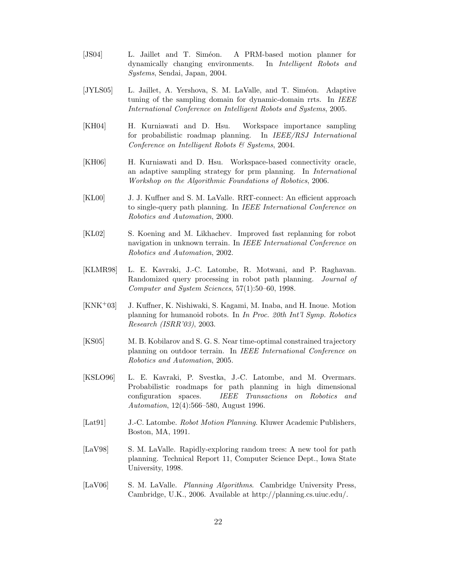- [JS04] L. Jaillet and T. Siméon. A PRM-based motion planner for dynamically changing environments. In Intelligent Robots and Systems, Sendai, Japan, 2004.
- [JYLS05] L. Jaillet, A. Yershova, S. M. LaValle, and T. Siméon. Adaptive tuning of the sampling domain for dynamic-domain rrts. In IEEE International Conference on Intelligent Robots and Systems, 2005.
- [KH04] H. Kurniawati and D. Hsu. Workspace importance sampling for probabilistic roadmap planning. In IEEE/RSJ International Conference on Intelligent Robots & Systems, 2004.
- [KH06] H. Kurniawati and D. Hsu. Workspace-based connectivity oracle, an adaptive sampling strategy for prm planning. In International Workshop on the Algorithmic Foundations of Robotics, 2006.
- [KL00] J. J. Kuffner and S. M. LaValle. RRT-connect: An efficient approach to single-query path planning. In IEEE International Conference on Robotics and Automation, 2000.
- [KL02] S. Koening and M. Likhachev. Improved fast replanning for robot navigation in unknown terrain. In IEEE International Conference on Robotics and Automation, 2002.
- [KLMR98] L. E. Kavraki, J.-C. Latombe, R. Motwani, and P. Raghavan. Randomized query processing in robot path planning. Journal of Computer and System Sciences, 57(1):50–60, 1998.
- [KNK+03] J. Kuffner, K. Nishiwaki, S. Kagami, M. Inaba, and H. Inoue. Motion planning for humanoid robots. In In Proc. 20th Int'l Symp. Robotics Research (ISRR'03), 2003.
- [KS05] M. B. Kobilarov and S. G. S. Near time-optimal constrained trajectory planning on outdoor terrain. In IEEE International Conference on Robotics and Automation, 2005.
- [KSLO96] L. E. Kavraki, P. Svestka, J.-C. Latombe, and M. Overmars. Probabilistic roadmaps for path planning in high dimensional configuration spaces. IEEE Transactions on Robotics and Automation, 12(4):566–580, August 1996.
- [Lat91] J.-C. Latombe. Robot Motion Planning. Kluwer Academic Publishers, Boston, MA, 1991.
- [LaV98] S. M. LaValle. Rapidly-exploring random trees: A new tool for path planning. Technical Report 11, Computer Science Dept., Iowa State University, 1998.
- [LaV06] S. M. LaValle. Planning Algorithms. Cambridge University Press, Cambridge, U.K., 2006. Available at http://planning.cs.uiuc.edu/.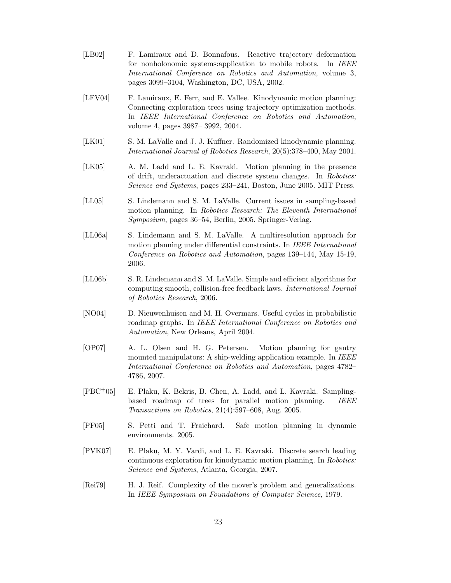- [LB02] F. Lamiraux and D. Bonnafous. Reactive trajectory deformation for nonholonomic systems:application to mobile robots. In IEEE International Conference on Robotics and Automation, volume 3, pages 3099–3104, Washington, DC, USA, 2002.
- [LFV04] F. Lamiraux, E. Ferr, and E. Vallee. Kinodynamic motion planning: Connecting exploration trees using trajectory optimization methods. In IEEE International Conference on Robotics and Automation, volume 4, pages 3987– 3992, 2004.
- [LK01] S. M. LaValle and J. J. Kuffner. Randomized kinodynamic planning. International Journal of Robotics Research, 20(5):378–400, May 2001.
- [LK05] A. M. Ladd and L. E. Kavraki. Motion planning in the presence of drift, underactuation and discrete system changes. In Robotics: Science and Systems, pages 233–241, Boston, June 2005. MIT Press.
- [LL05] S. Lindemann and S. M. LaValle. Current issues in sampling-based motion planning. In Robotics Research: The Eleventh International Symposium, pages 36–54, Berlin, 2005. Springer-Verlag.
- [LL06a] S. Lindemann and S. M. LaValle. A multiresolution approach for motion planning under differential constraints. In IEEE International Conference on Robotics and Automation, pages 139–144, May 15-19, 2006.
- [LL06b] S. R. Lindemann and S. M. LaValle. Simple and efficient algorithms for computing smooth, collision-free feedback laws. International Journal of Robotics Research, 2006.
- [NO04] D. Nieuwenhuisen and M. H. Overmars. Useful cycles in probabilistic roadmap graphs. In IEEE International Conference on Robotics and Automation, New Orleans, April 2004.
- [OP07] A. L. Olsen and H. G. Petersen. Motion planning for gantry mounted manipulators: A ship-welding application example. In IEEE International Conference on Robotics and Automation, pages 4782– 4786, 2007.
- [PBC+05] E. Plaku, K. Bekris, B. Chen, A. Ladd, and L. Kavraki. Samplingbased roadmap of trees for parallel motion planning. IEEE Transactions on Robotics, 21(4):597–608, Aug. 2005.
- [PF05] S. Petti and T. Fraichard. Safe motion planning in dynamic environments. 2005.
- [PVK07] E. Plaku, M. Y. Vardi, and L. E. Kavraki. Discrete search leading continuous exploration for kinodynamic motion planning. In Robotics: Science and Systems, Atlanta, Georgia, 2007.
- [Rei79] H. J. Reif. Complexity of the mover's problem and generalizations. In IEEE Symposium on Foundations of Computer Science, 1979.